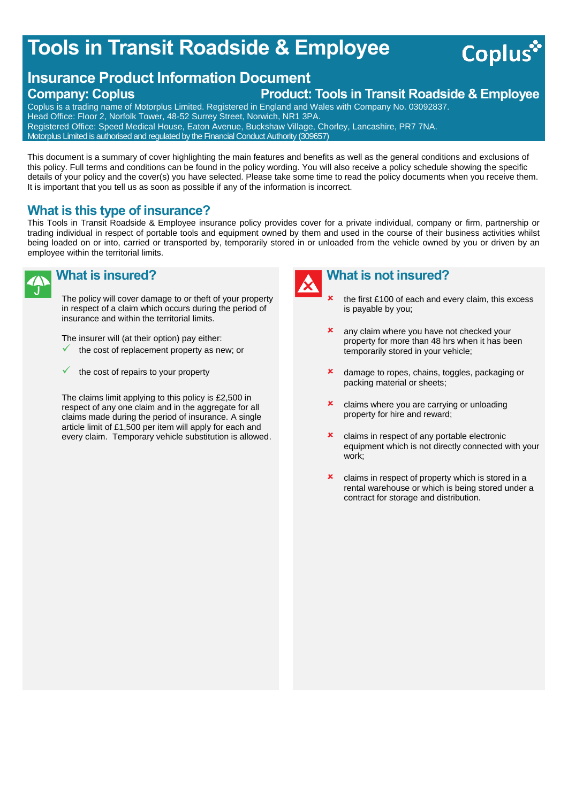# **Tools in Transit Roadside & Employee**

# **Insurance Product Information Document Company: Coplus Product: Tools in Transit Roadside & Employee**

Coplus is a trading name of Motorplus Limited. Registered in England and Wales with Company No. 03092837. Head Office: Floor 2, Norfolk Tower, 48-52 Surrey Street, Norwich, NR1 3PA. Registered Office: Speed Medical House, Eaton Avenue, Buckshaw Village, Chorley, Lancashire, PR7 7NA.

Motorplus Limited is authorised and regulated by the Financial Conduct Authority (309657)

This document is a summary of cover highlighting the main features and benefits as well as the general conditions and exclusions of this policy. Full terms and conditions can be found in the policy wording. You will also receive a policy schedule showing the specific details of your policy and the cover(s) you have selected. Please take some time to read the policy documents when you receive them. It is important that you tell us as soon as possible if any of the information is incorrect.

# **What is this type of insurance?**

This Tools in Transit Roadside & Employee insurance policy provides cover for a private individual, company or firm, partnership or trading individual in respect of portable tools and equipment owned by them and used in the course of their business activities whilst being loaded on or into, carried or transported by, temporarily stored in or unloaded from the vehicle owned by you or driven by an employee within the territorial limits.



# **What is insured?**

The policy will cover damage to or theft of your property in respect of a claim which occurs during the period of insurance and within the territorial limits.

The insurer will (at their option) pay either:

- the cost of replacement property as new; or
- the cost of repairs to your property

The claims limit applying to this policy is £2,500 in respect of any one claim and in the aggregate for all claims made during the period of insurance. A single article limit of £1,500 per item will apply for each and every claim. Temporary vehicle substitution is allowed.



# **What is not insured?**

 the first £100 of each and every claim, this excess is payable by you;

**Coplus** 

- **x** any claim where you have not checked your property for more than 48 hrs when it has been temporarily stored in your vehicle;
- **x** damage to ropes, chains, toggles, packaging or packing material or sheets;
- **x** claims where you are carrying or unloading property for hire and reward;
- **x** claims in respect of any portable electronic equipment which is not directly connected with your work;
- **x** claims in respect of property which is stored in a rental warehouse or which is being stored under a contract for storage and distribution.